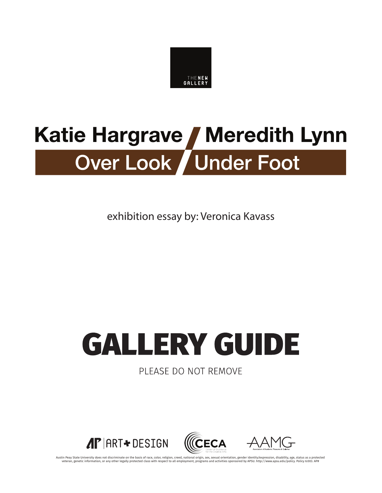

# Katie Hargrave / Meredith Lynn Over Look / Under Foot

exhibition essay by: Veronica Kavass

# **GALLERY GUIDE**

PLEASE DO NOT REMOVE



Austin Peay State University does not discriminate on the basis of race, color, religion, creed, national origin, sex, sexual orientation, gender identity/expression, disability, age, status as a protected class with respe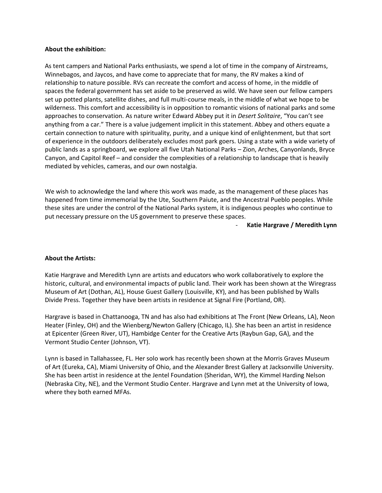#### **About the exhibition:**

As tent campers and National Parks enthusiasts, we spend a lot of time in the company of Airstreams, Winnebagos, and Jaycos, and have come to appreciate that for many, the RV makes a kind of relationship to nature possible. RVs can recreate the comfort and access of home, in the middle of spaces the federal government has set aside to be preserved as wild. We have seen our fellow campers set up potted plants, satellite dishes, and full multi-course meals, in the middle of what we hope to be wilderness. This comfort and accessibility is in opposition to romantic visions of national parks and some approaches to conservation. As nature writer Edward Abbey put it in *Desert Solitaire*, "You can't see anything from a car." There is a value judgement implicit in this statement. Abbey and others equate a certain connection to nature with spirituality, purity, and a unique kind of enlightenment, but that sort of experience in the outdoors deliberately excludes most park goers. Using a state with a wide variety of public lands as a springboard, we explore all five Utah National Parks – Zion, Arches, Canyonlands, Bryce Canyon, and Capitol Reef – and consider the complexities of a relationship to landscape that is heavily mediated by vehicles, cameras, and our own nostalgia.

We wish to acknowledge the land where this work was made, as the management of these places has happened from time immemorial by the Ute, Southern Paiute, and the Ancestral Pueblo peoples. While these sites are under the control of the National Parks system, it is indigenous peoples who continue to put necessary pressure on the US government to preserve these spaces.

- **Katie Hargrave / Meredith Lynn**

### **About the Artists:**

Katie Hargrave and Meredith Lynn are artists and educators who work collaboratively to explore the historic, cultural, and environmental impacts of public land. Their work has been shown at the Wiregrass Museum of Art (Dothan, AL), House Guest Gallery (Louisville, KY), and has been published by Walls Divide Press. Together they have been artists in residence at Signal Fire (Portland, OR).

Hargrave is based in Chattanooga, TN and has also had exhibitions at The Front (New Orleans, LA), Neon Heater (Finley, OH) and the Wienberg/Newton Gallery (Chicago, IL). She has been an artist in residence at Epicenter (Green River, UT), Hambidge Center for the Creative Arts (Raybun Gap, GA), and the Vermont Studio Center (Johnson, VT).

Lynn is based in Tallahassee, FL. Her solo work has recently been shown at the Morris Graves Museum of Art (Eureka, CA), Miami University of Ohio, and the Alexander Brest Gallery at Jacksonville University. She has been artist in residence at the Jentel Foundation (Sheridan, WY), the Kimmel Harding Nelson (Nebraska City, NE), and the Vermont Studio Center. Hargrave and Lynn met at the University of Iowa, where they both earned MFAs.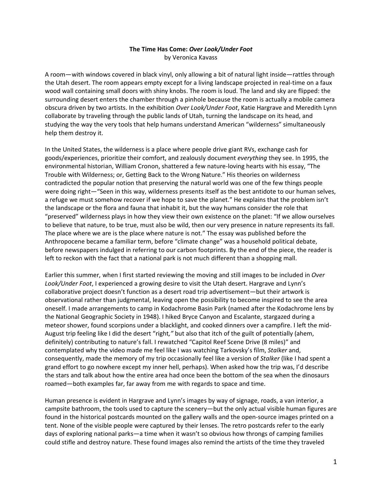## **The Time Has Come:** *Over Look/Under Foot* by Veronica Kavass

A room—with windows covered in black vinyl, only allowing a bit of natural light inside—rattles through the Utah desert. The room appears empty except for a living landscape projected in real-time on a faux wood wall containing small doors with shiny knobs. The room is loud. The land and sky are flipped: the surrounding desert enters the chamber through a pinhole because the room is actually a mobile camera obscura driven by two artists. In the exhibition *Over Look/Under Foot*, Katie Hargrave and Meredith Lynn collaborate by traveling through the public lands of Utah, turning the landscape on its head, and studying the way the very tools that help humans understand American "wilderness" simultaneously help them destroy it.

In the United States, the wilderness is a place where people drive giant RVs, exchange cash for goods/experiences, prioritize their comfort, and zealously document *everything* they see. In 1995, the environmental historian, William Cronon, shattered a few nature-loving hearts with his essay, "The Trouble with Wilderness; or, Getting Back to the Wrong Nature." His theories on wilderness contradicted the popular notion that preserving the natural world was one of the few things people were doing right—"Seen in this way, wilderness presents itself as the best antidote to our human selves, a refuge we must somehow recover if we hope to save the planet." He explains that the problem isn't the landscape or the flora and fauna that inhabit it, but the way humans consider the role that "preserved" wilderness plays in how they view their own existence on the planet: "If we allow ourselves to believe that nature, to be true, must also be wild, then our very presence in nature represents its fall. The place where we are is the place where nature is not." The essay was published before the Anthropocene became a familiar term, before "climate change" was a household political debate, before newspapers indulged in referring to our carbon footprints. By the end of the piece, the reader is left to reckon with the fact that a national park is not much different than a shopping mall.

Earlier this summer, when I first started reviewing the moving and still images to be included in *Over Look/Under Foot*, I experienced a growing desire to visit the Utah desert. Hargrave and Lynn's collaborative project doesn't function as a desert road trip advertisement—but their artwork is observational rather than judgmental, leaving open the possibility to become inspired to see the area oneself. I made arrangements to camp in Kodachrome Basin Park (named after the Kodachrome lens by the National Geographic Society in 1948). I hiked Bryce Canyon and Escalante, stargazed during a meteor shower, found scorpions under a blacklight, and cooked dinners over a campfire. I left the mid-August trip feeling like I did the desert "right*,"* but also that itch of the guilt of potentially (ahem, definitely) contributing to nature's fall. I rewatched "Capitol Reef Scene Drive (8 miles)" and contemplated why the video made me feel like I was watching Tarkovsky's film, *Stalker* and, consequently, made the memory of my trip occasionally feel like a version of *Stalker* (like I had spent a grand effort to go nowhere except my inner hell, perhaps). When asked how the trip was, I'd describe the stars and talk about how the entire area had once been the bottom of the sea when the dinosaurs roamed—both examples far, far away from me with regards to space and time.

Human presence is evident in Hargrave and Lynn's images by way of signage, roads, a van interior, a campsite bathroom, the tools used to capture the scenery—but the only actual visible human figures are found in the historical postcards mounted on the gallery walls and the open-source images printed on a tent. None of the visible people were captured by their lenses. The retro postcards refer to the early days of exploring national parks—a time when it wasn't so obvious how throngs of camping families could stifle and destroy nature. These found images also remind the artists of the time they traveled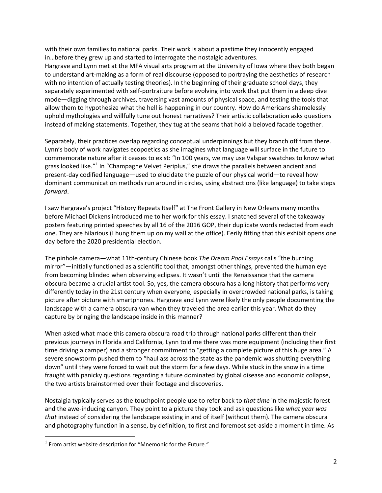with their own families to national parks. Their work is about a pastime they innocently engaged in…before they grew up and started to interrogate the nostalgic adventures.

Hargrave and Lynn met at the MFA visual arts program at the University of Iowa where they both began to understand art-making as a form of real discourse (opposed to portraying the aesthetics of research with no intention of actually testing theories). In the beginning of their graduate school days, they separately experimented with self-portraiture before evolving into work that put them in a deep dive mode—digging through archives, traversing vast amounts of physical space, and testing the tools that allow them to hypothesize what the hell is happening in our country. How do Americans shamelessly uphold mythologies and willfully tune out honest narratives? Their artistic collaboration asks questions instead of making statements. Together, they tug at the seams that hold a beloved facade together.

Separately, their practices overlap regarding conceptual underpinnings but they branch off from there. Lynn's body of work navigates ecopoetics as she imagines what language will surface in the future to commemorate nature after it ceases to exist: "In 100 years, we may use Valspar swatches to know what grass looked like."<sup>1</sup> In "Champagne Velvet Periplus," she draws the parallels between ancient and present-day codified language—used to elucidate the puzzle of our physical world—to reveal how dominant communication methods run around in circles, using abstractions (like language) to take steps *forward*.

I saw Hargrave's project "History Repeats Itself" at The Front Gallery in New Orleans many months before Michael Dickens introduced me to her work for this essay. I snatched several of the takeaway posters featuring printed speeches by all 16 of the 2016 GOP, their duplicate words redacted from each one. They are hilarious (I hung them up on my wall at the office). Eerily fitting that this exhibit opens one day before the 2020 presidential election.

The pinhole camera—what 11th-century Chinese book *The Dream Pool Essays* calls "the burning mirror"—initially functioned as a scientific tool that, amongst other things, prevented the human eye from becoming blinded when observing eclipses. It wasn't until the Renaissance that the camera obscura became a crucial artist tool. So, yes, the camera obscura has a long history that performs very differently today in the 21st century when everyone, especially in overcrowded national parks, is taking picture after picture with smartphones. Hargrave and Lynn were likely the only people documenting the landscape with a camera obscura van when they traveled the area earlier this year. What do they capture by bringing the landscape inside in this manner?

When asked what made this camera obscura road trip through national parks different than their previous journeys in Florida and California, Lynn told me there was more equipment (including their first time driving a camper) and a stronger commitment to "getting a complete picture of this huge area." A severe snowstorm pushed them to "haul ass across the state as the pandemic was shutting everything down" until they were forced to wait out the storm for a few days. While stuck in the snow in a time fraught with panicky questions regarding a future dominated by global disease and economic collapse, the two artists brainstormed over their footage and discoveries.

Nostalgia typically serves as the touchpoint people use to refer back to *that time* in the majestic forest and the awe-inducing canyon. They point to a picture they took and ask questions like *what year was that* instead of considering the landscape existing in and of itself (without them). The camera obscura and photography function in a sense, by definition, to first and foremost set-aside a moment in time. As

 $1$  From artist website description for "Mnemonic for the Future."